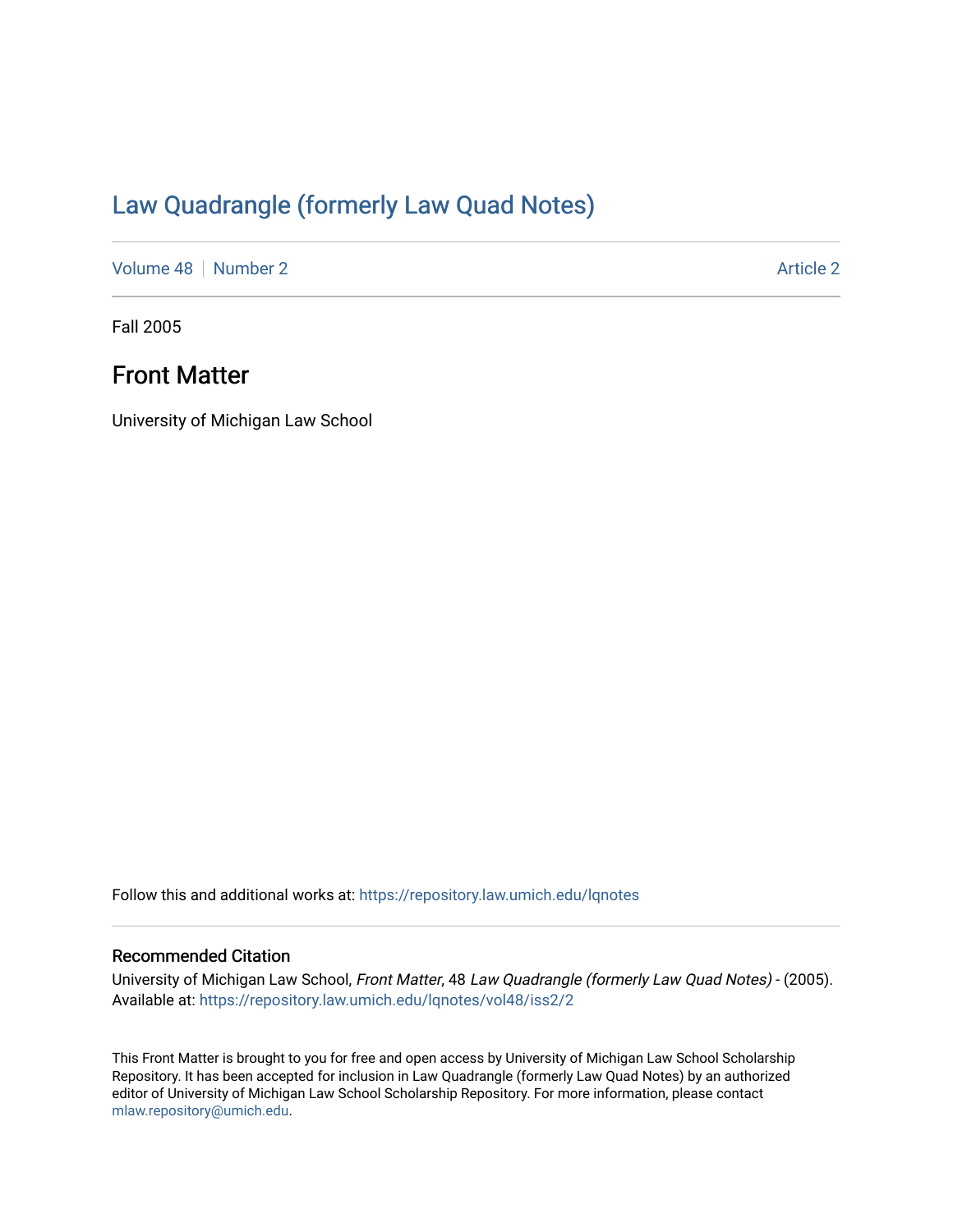# [Law Quadrangle \(formerly Law Quad Notes\)](https://repository.law.umich.edu/lqnotes)

[Volume 48](https://repository.law.umich.edu/lqnotes/vol48) [Number 2](https://repository.law.umich.edu/lqnotes/vol48/iss2) [Article 2](https://repository.law.umich.edu/lqnotes/vol48/iss2/2) Article 2 Article 2 Article 2 Article 2 Article 2 Article 2

Fall 2005

# Front Matter

University of Michigan Law School

Follow this and additional works at: [https://repository.law.umich.edu/lqnotes](https://repository.law.umich.edu/lqnotes?utm_source=repository.law.umich.edu%2Flqnotes%2Fvol48%2Fiss2%2F2&utm_medium=PDF&utm_campaign=PDFCoverPages) 

#### Recommended Citation

University of Michigan Law School, Front Matter, 48 Law Quadrangle (formerly Law Quad Notes) - (2005). Available at: [https://repository.law.umich.edu/lqnotes/vol48/iss2/2](https://repository.law.umich.edu/lqnotes/vol48/iss2/2?utm_source=repository.law.umich.edu%2Flqnotes%2Fvol48%2Fiss2%2F2&utm_medium=PDF&utm_campaign=PDFCoverPages) 

This Front Matter is brought to you for free and open access by University of Michigan Law School Scholarship Repository. It has been accepted for inclusion in Law Quadrangle (formerly Law Quad Notes) by an authorized editor of University of Michigan Law School Scholarship Repository. For more information, please contact [mlaw.repository@umich.edu.](mailto:mlaw.repository@umich.edu)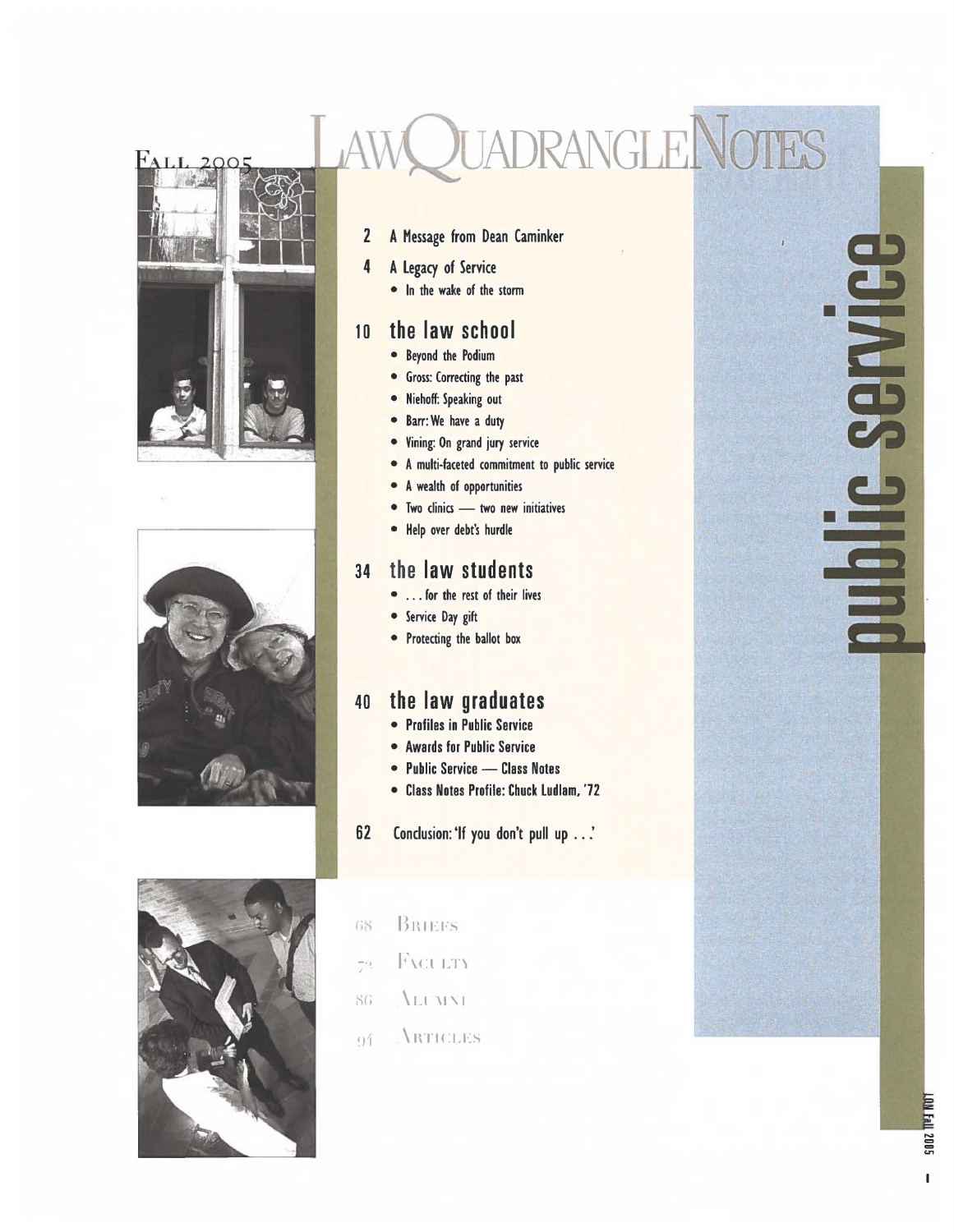



#### 2 A Message from Dean Caminker

**OUADRANGLE NOTES** 

#### **4** A Legacy of Service

• In the **wake** of the storm

#### 10 **the law school**

- Beyond the Podium
- **•** Gross: Correcting the past
- Niehoff: Speaking out
- Barr: We have a duty
- Vining: On grand jury service
- A multi-faceted commitment to public service
- A wealth of opportunities
- Two clinics two new initiatives
- • Help over debt's hurdle

#### <sup>34</sup>**the law students**

- ... for the rest of their lives
- Service Day gift
- Protecting the ballot box

#### <sup>40</sup>**the law graduates**

- Profiles in Public Service
- Awards for Public Service
- Public Service Class Notes
- Class Notes Profile: Chuck Ludlam, '72
- 62 Conclusion: 'If you don't pull up .. .'



- GS BRIEFS
- -·, F\u LT'\ *I* .
- 86 \LUMNI
- $9'$  **ARTICLES**